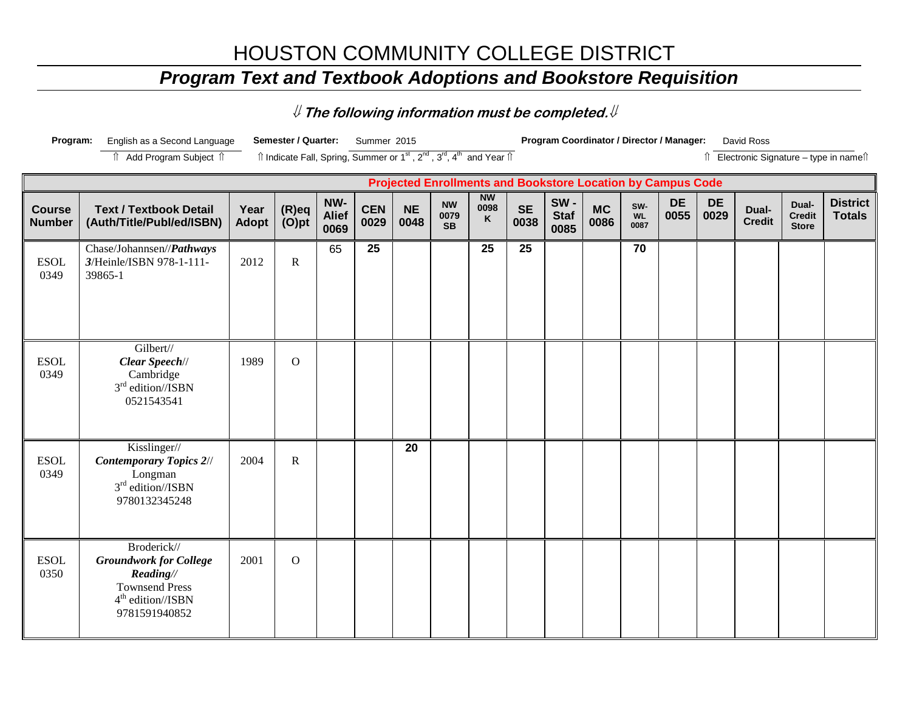## HOUSTON COMMUNITY COLLEGE DISTRICT

## *Program Text and Textbook Adoptions and Bookstore Requisition*

⇓ **The following information must be completed.**⇓

| Program:                       | English as a Second Language                                                                                                         |                      | Semester / Quarter:                                                                                                   |                             | Summer 2015        |                   |                                |                        |                   |                            | Program Coordinator / Director / Manager:                          |                          |                   |                   | David Ross             |                                        |                                          |
|--------------------------------|--------------------------------------------------------------------------------------------------------------------------------------|----------------------|-----------------------------------------------------------------------------------------------------------------------|-----------------------------|--------------------|-------------------|--------------------------------|------------------------|-------------------|----------------------------|--------------------------------------------------------------------|--------------------------|-------------------|-------------------|------------------------|----------------------------------------|------------------------------------------|
|                                | Add Program Subject 1                                                                                                                |                      | Îl Indicate Fall, Spring, Summer or 1 <sup>st</sup> , 2 <sup>nd</sup> , 3 <sup>rd</sup> , 4 <sup>th</sup> and Year Îl |                             |                    |                   |                                |                        |                   |                            |                                                                    |                          |                   |                   |                        |                                        | îl Electronic Signature - type in nameîl |
|                                |                                                                                                                                      |                      |                                                                                                                       |                             |                    |                   |                                |                        |                   |                            | <b>Projected Enrollments and Bookstore Location by Campus Code</b> |                          |                   |                   |                        |                                        |                                          |
| <b>Course</b><br><b>Number</b> | <b>Text / Textbook Detail</b><br>(Auth/Title/Publ/ed/ISBN)                                                                           | Year<br><b>Adopt</b> | $(R)$ eq<br>$(O)$ pt                                                                                                  | NW-<br><b>Alief</b><br>0069 | <b>CEN</b><br>0029 | <b>NE</b><br>0048 | <b>NW</b><br>0079<br><b>SB</b> | <b>NW</b><br>0098<br>K | <b>SE</b><br>0038 | SW-<br><b>Staf</b><br>0085 | <b>MC</b><br>0086                                                  | SW-<br><b>WL</b><br>0087 | <b>DE</b><br>0055 | <b>DE</b><br>0029 | Dual-<br><b>Credit</b> | Dual-<br><b>Credit</b><br><b>Store</b> | <b>District</b><br><b>Totals</b>         |
| <b>ESOL</b><br>0349            | Chase/Johannsen//Pathways<br>3/Heinle/ISBN 978-1-111-<br>39865-1                                                                     | 2012                 | $\mathbb{R}$                                                                                                          | 65                          | 25                 |                   |                                | 25                     | 25                |                            |                                                                    | 70                       |                   |                   |                        |                                        |                                          |
| <b>ESOL</b><br>0349            | Gilbert//<br>Clear Speech//<br>Cambridge<br>3 <sup>rd</sup> edition//ISBN<br>0521543541                                              | 1989                 | $\mathbf{O}$                                                                                                          |                             |                    |                   |                                |                        |                   |                            |                                                                    |                          |                   |                   |                        |                                        |                                          |
| <b>ESOL</b><br>0349            | Kisslinger//<br><b>Contemporary Topics 2//</b><br>Longman<br>$3rd$ edition//ISBN<br>9780132345248                                    | 2004                 | ${\bf R}$                                                                                                             |                             |                    | 20                |                                |                        |                   |                            |                                                                    |                          |                   |                   |                        |                                        |                                          |
| <b>ESOL</b><br>0350            | Broderick//<br><b>Groundwork for College</b><br>Reading//<br><b>Townsend Press</b><br>4 <sup>th</sup> edition//ISBN<br>9781591940852 | 2001                 | $\mathbf{O}$                                                                                                          |                             |                    |                   |                                |                        |                   |                            |                                                                    |                          |                   |                   |                        |                                        |                                          |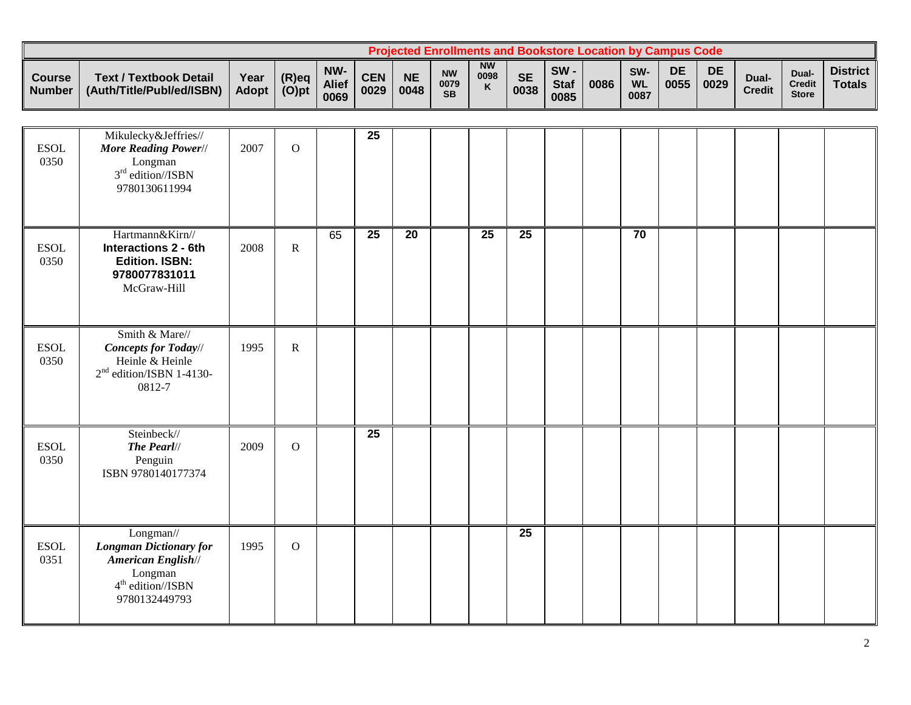|                                |                                                            |               |                      |                             |             |                   |                                |                        | <b>Projected Enrollments and Bookstore Location by Campus Code</b> |                            |      |                          |            |                   |                 |                                 |                             |
|--------------------------------|------------------------------------------------------------|---------------|----------------------|-----------------------------|-------------|-------------------|--------------------------------|------------------------|--------------------------------------------------------------------|----------------------------|------|--------------------------|------------|-------------------|-----------------|---------------------------------|-----------------------------|
| <b>Course</b><br><b>Number</b> | <b>Text / Textbook Detail</b><br>(Auth/Title/Publ/ed/ISBN) | Year<br>Adopt | $(R)$ eq<br>$(O)$ pt | NW-<br><b>Alief</b><br>0069 | CEN<br>0029 | <b>NE</b><br>0048 | <b>NW</b><br>0079<br><b>SB</b> | <b>NW</b><br>0098<br>K | <b>SE</b><br>0038                                                  | SW-<br><b>Staf</b><br>0085 | 0086 | SW-<br><b>WL</b><br>0087 | DE<br>0055 | <b>DE</b><br>0029 | Dual-<br>Credit | Dual-<br>Credit<br><b>Store</b> | District  <br><b>Totals</b> |

| <b>ESOL</b><br>0350 | Mikulecky&Jeffries//<br><b>More Reading Power//</b><br>Longman<br>$3rd$ edition//ISBN<br>9780130611994              | 2007 | $\mathbf{O}$   |    | 25              |                 |                 |                 |  |    |  |  |  |
|---------------------|---------------------------------------------------------------------------------------------------------------------|------|----------------|----|-----------------|-----------------|-----------------|-----------------|--|----|--|--|--|
| <b>ESOL</b><br>0350 | Hartmann&Kirn//<br><b>Interactions 2 - 6th</b><br><b>Edition. ISBN:</b><br>9780077831011<br>McGraw-Hill             | 2008 | $\mathbf R$    | 65 | $\overline{25}$ | $\overline{20}$ | $\overline{25}$ | $\overline{25}$ |  | 70 |  |  |  |
| <b>ESOL</b><br>0350 | Smith & Mare//<br><b>Concepts for Today//</b><br>Heinle & Heinle<br>$2nd$ edition/ISBN 1-4130-<br>0812-7            | 1995 | ${\bf R}$      |    |                 |                 |                 |                 |  |    |  |  |  |
| <b>ESOL</b><br>0350 | Steinbeck//<br>The Pearl//<br>Penguin<br>ISBN 9780140177374                                                         | 2009 | $\overline{O}$ |    | $\overline{25}$ |                 |                 |                 |  |    |  |  |  |
| <b>ESOL</b><br>0351 | Longman//<br><b>Longman Dictionary for</b><br>American English//<br>Longman<br>$4th$ edition//ISBN<br>9780132449793 | 1995 | $\mathbf{O}$   |    |                 |                 |                 | 25              |  |    |  |  |  |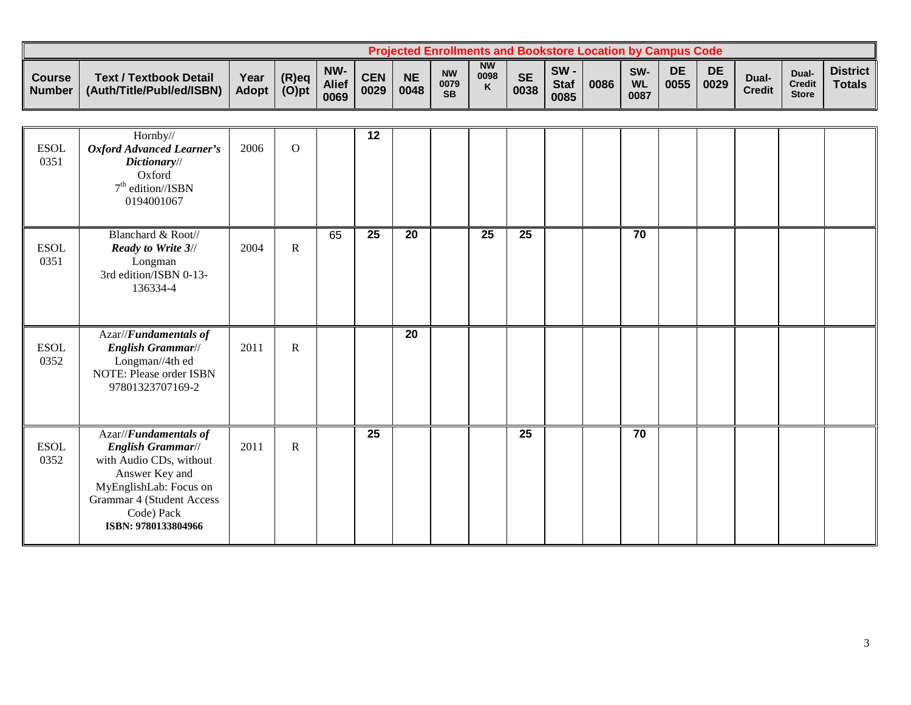|                                |                                                            |               |                   |                             |                    |                   | <b>Projected Enrollments and Bookstore Location by Campus Code</b> |                                   |                   |                               |      |                                      |            |                   |                        |                                 |                                  |
|--------------------------------|------------------------------------------------------------|---------------|-------------------|-----------------------------|--------------------|-------------------|--------------------------------------------------------------------|-----------------------------------|-------------------|-------------------------------|------|--------------------------------------|------------|-------------------|------------------------|---------------------------------|----------------------------------|
| <b>Course</b><br><b>Number</b> | <b>Text / Textbook Detail</b><br>(Auth/Title/Publ/ed/ISBN) | Year<br>Adopt | (R)eq<br>$(O)$ pt | NW-<br><b>Alief</b><br>0069 | <b>CEN</b><br>0029 | <b>NE</b><br>0048 | <b>NW</b><br>0079<br><b>SB</b>                                     | <b>NW</b><br>0098<br>$\mathbf{v}$ | <b>SE</b><br>0038 | $SW -$<br><b>Staf</b><br>0085 | 0086 | SW <sub>·</sub><br><b>WL</b><br>0087 | DE<br>0055 | <b>DE</b><br>0029 | Dual-<br><b>Credit</b> | Dual-<br>Credit<br><b>Store</b> | <b>District</b><br><b>Totals</b> |

| <b>ESOL</b><br>0351 | Hornby//<br><b>Oxford Advanced Learner's</b><br>Dictionary//<br>Oxford<br>$7th$ edition//ISBN<br>0194001067                                                                                | 2006 | $\overline{O}$ |    | 12              |                 |                 |    |  |    |  |  |  |
|---------------------|--------------------------------------------------------------------------------------------------------------------------------------------------------------------------------------------|------|----------------|----|-----------------|-----------------|-----------------|----|--|----|--|--|--|
| <b>ESOL</b><br>0351 | Blanchard & Root//<br><b>Ready to Write 3//</b><br>Longman<br>3rd edition/ISBN 0-13-<br>136334-4                                                                                           | 2004 | $\mathbf R$    | 65 | $\overline{25}$ | $\overline{20}$ | $\overline{25}$ | 25 |  | 70 |  |  |  |
| <b>ESOL</b><br>0352 | Azar//Fundamentals of<br>English Grammar//<br>Longman//4th ed<br>NOTE: Please order ISBN<br>97801323707169-2                                                                               | 2011 | ${\bf R}$      |    |                 | 20              |                 |    |  |    |  |  |  |
| <b>ESOL</b><br>0352 | Azar//Fundamentals of<br><b>English Grammar//</b><br>with Audio CDs, without<br>Answer Key and<br>MyEnglishLab: Focus on<br>Grammar 4 (Student Access<br>Code) Pack<br>ISBN: 9780133804966 | 2011 | $\mathbf R$    |    | 25              |                 |                 | 25 |  | 70 |  |  |  |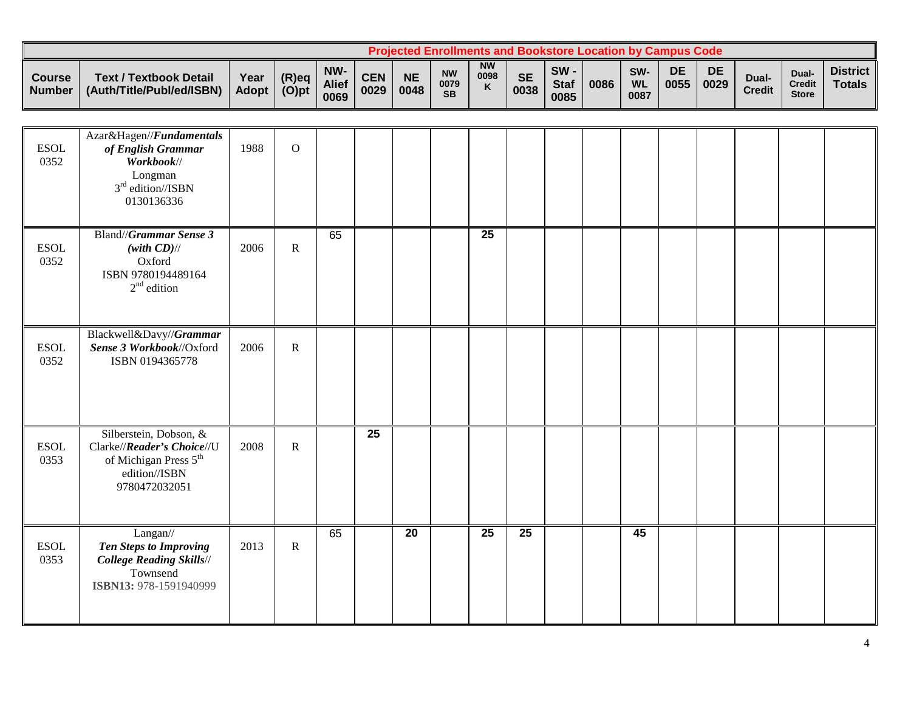|                                |                                                            |                      |                   |                             |                    |                   | <b>Projected Enrollments and Bookstore Location by Campus Code</b> |                                   |                   |                            |      |                                      |            |                   |                        |                                |                                  |
|--------------------------------|------------------------------------------------------------|----------------------|-------------------|-----------------------------|--------------------|-------------------|--------------------------------------------------------------------|-----------------------------------|-------------------|----------------------------|------|--------------------------------------|------------|-------------------|------------------------|--------------------------------|----------------------------------|
| <b>Course</b><br><b>Number</b> | <b>Text / Textbook Detail</b><br>(Auth/Title/Publ/ed/ISBN) | Year<br><b>Adopt</b> | (R)eq<br>$(O)$ pt | NW-<br><b>Alief</b><br>0069 | <b>CEN</b><br>0029 | <b>NE</b><br>0048 | <b>NW</b><br>0079<br><b>SB</b>                                     | <b>NW</b><br>0098<br>$\mathbf{z}$ | <b>SE</b><br>0038 | SW-<br><b>Staf</b><br>0085 | 0086 | SW <sub>·</sub><br><b>WL</b><br>0087 | DE<br>0055 | <b>DE</b><br>0029 | Dual-<br><b>Credit</b> | Dual<br>Credit<br><b>Store</b> | <b>District</b><br><b>Totals</b> |

| <b>ESOL</b><br>0352 | Azar&Hagen//Fundamentals<br>of English Grammar<br>Workbook//<br>Longman<br>$3rd$ edition//ISBN<br>0130136336                | 1988 | $\mathbf{O}$ |    |    |                 |                 |                 |  |    |  |  |  |
|---------------------|-----------------------------------------------------------------------------------------------------------------------------|------|--------------|----|----|-----------------|-----------------|-----------------|--|----|--|--|--|
| <b>ESOL</b><br>0352 | Bland//Grammar Sense 3<br>$(with CD)$ //<br>Oxford<br>ISBN 9780194489164<br>$2nd$ edition                                   | 2006 | ${\bf R}$    | 65 |    |                 | $\overline{25}$ |                 |  |    |  |  |  |
| <b>ESOL</b><br>0352 | Blackwell&Davy//Grammar<br>Sense 3 Workbook//Oxford<br>ISBN 0194365778                                                      | 2006 | $\mathbf R$  |    |    |                 |                 |                 |  |    |  |  |  |
| <b>ESOL</b><br>0353 | Silberstein, Dobson, &<br>Clarke//Reader's Choice//U<br>of Michigan Press 5 <sup>th</sup><br>edition//ISBN<br>9780472032051 | 2008 | ${\bf R}$    |    | 25 |                 |                 |                 |  |    |  |  |  |
| <b>ESOL</b><br>0353 | Langan//<br><b>Ten Steps to Improving</b><br><b>College Reading Skills//</b><br>Townsend<br>ISBN13: 978-1591940999          | 2013 | ${\bf R}$    | 65 |    | $\overline{20}$ | $\overline{25}$ | $\overline{25}$ |  | 45 |  |  |  |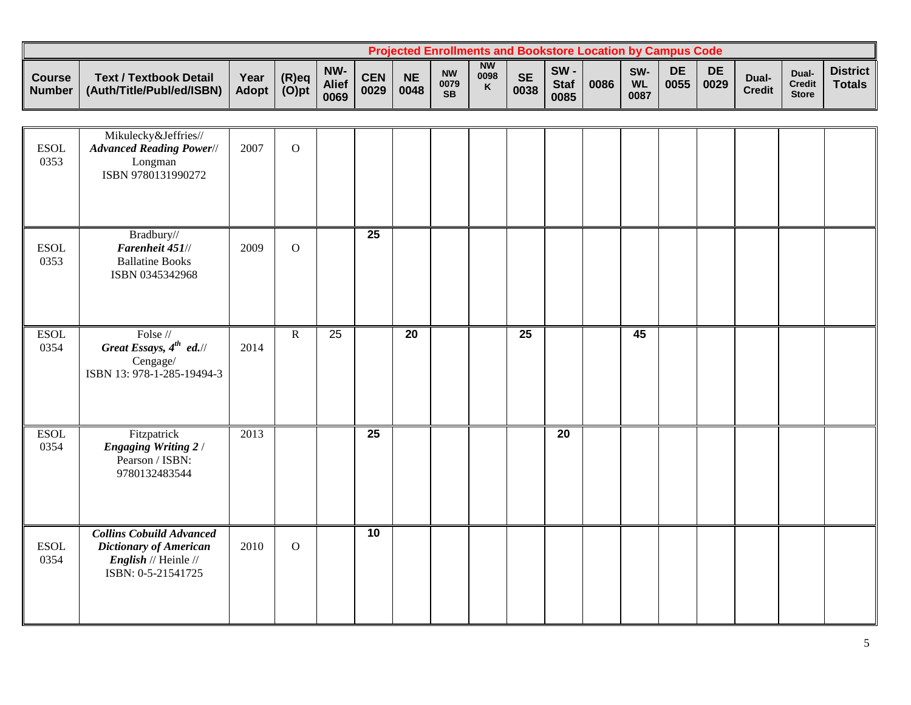|                         |                                                            |                      |                      |                             |                    |                   | <b>Projected Enrollments and Bookstore Location by Campus Code</b> |                                   |                   |                            |      |                          |            |                   |                        |                                        |                                  |
|-------------------------|------------------------------------------------------------|----------------------|----------------------|-----------------------------|--------------------|-------------------|--------------------------------------------------------------------|-----------------------------------|-------------------|----------------------------|------|--------------------------|------------|-------------------|------------------------|----------------------------------------|----------------------------------|
| <b>Course</b><br>Number | <b>Text / Textbook Detail</b><br>(Auth/Title/Publ/ed/ISBN) | Year<br><b>Adopt</b> | $(R)$ eq<br>$(O)$ pt | NW-<br><b>Alief</b><br>0069 | <b>CEN</b><br>0029 | <b>NE</b><br>0048 | <b>NW</b><br>0079<br><b>SB</b>                                     | <b>NW</b><br>0098<br>$\mathbf{v}$ | <b>SE</b><br>0038 | SW-<br><b>Staf</b><br>0085 | 0086 | SW-<br><b>WL</b><br>0087 | DE<br>0055 | <b>DE</b><br>0029 | Dual-<br><b>Credit</b> | Dual-<br><b>Credit</b><br><b>Store</b> | <b>District</b><br><b>Totals</b> |

| <b>ESOL</b><br>0353 | Mikulecky&Jeffries//<br><b>Advanced Reading Power//</b><br>Longman<br>ISBN 9780131990272                       | 2007 | $\mathbf{O}$   |                 |                 |                 |  |    |    |    |  |  |  |
|---------------------|----------------------------------------------------------------------------------------------------------------|------|----------------|-----------------|-----------------|-----------------|--|----|----|----|--|--|--|
| <b>ESOL</b><br>0353 | Bradbury//<br>Farenheit 451//<br><b>Ballatine Books</b><br>ISBN 0345342968                                     | 2009 | $\mathbf{O}$   |                 | $\overline{25}$ |                 |  |    |    |    |  |  |  |
| <b>ESOL</b><br>0354 | Folse //<br>Great Essays, $4^{th}$ ed.//<br>$\bf Cengage/$<br>ISBN 13: 978-1-285-19494-3                       | 2014 | $\overline{R}$ | $\overline{25}$ |                 | $\overline{20}$ |  | 25 |    | 45 |  |  |  |
| <b>ESOL</b><br>0354 | Fitzpatrick<br><b>Engaging Writing 2/</b><br>Pearson / ISBN:<br>9780132483544                                  | 2013 |                |                 | $\overline{25}$ |                 |  |    | 20 |    |  |  |  |
| <b>ESOL</b><br>0354 | <b>Collins Cobuild Advanced</b><br>Dictionary of American<br><i>English</i> // Heinle //<br>ISBN: 0-5-21541725 | 2010 | $\overline{O}$ |                 | 10              |                 |  |    |    |    |  |  |  |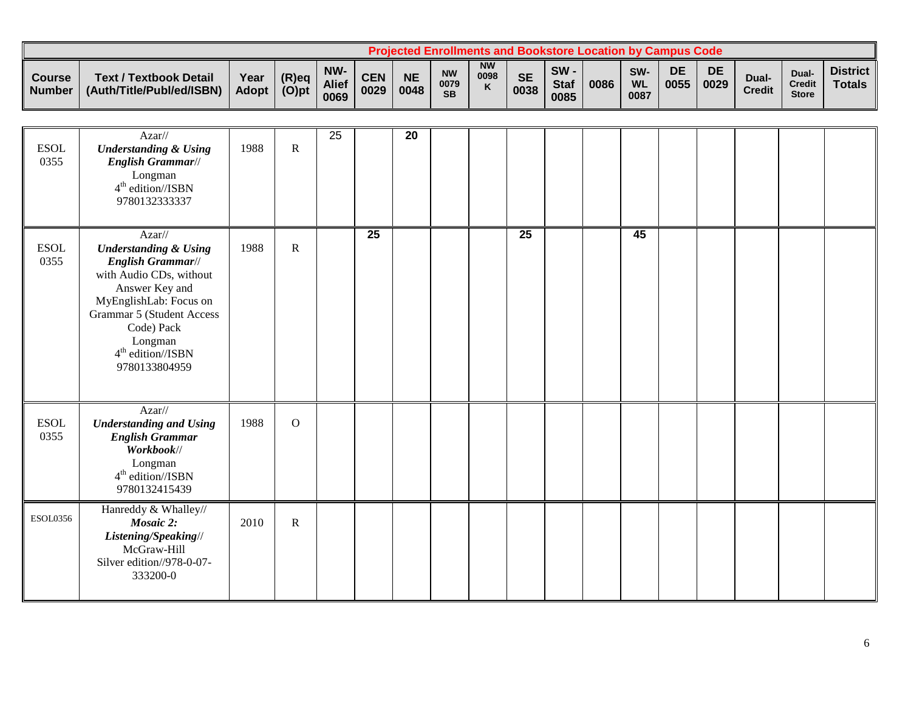|                                      |                                                            |                      |                      |                             |                    |                   | <b>Projected Enrollments and Bookstore Location by Campus Code</b> |                        |                   |                            |      |                          |            |            |                        |                                        |                                  |
|--------------------------------------|------------------------------------------------------------|----------------------|----------------------|-----------------------------|--------------------|-------------------|--------------------------------------------------------------------|------------------------|-------------------|----------------------------|------|--------------------------|------------|------------|------------------------|----------------------------------------|----------------------------------|
| <b>Course</b><br>Number <sup>1</sup> | <b>Text / Textbook Detail</b><br>(Auth/Title/Publ/ed/ISBN) | Year<br><b>Adopt</b> | $(R)$ eq<br>$(O)$ pt | NW-<br><b>Alief</b><br>0069 | <b>CEN</b><br>0029 | <b>NE</b><br>0048 | <b>NW</b><br>0079<br><b>SB</b>                                     | <b>NW</b><br>0098<br>K | <b>SE</b><br>0038 | SW-<br><b>Staf</b><br>0085 | 0086 | SW-<br><b>WL</b><br>0087 | DE<br>0055 | DE<br>0029 | Dual-<br><b>Credit</b> | Dual-<br><b>Credit</b><br><b>Store</b> | <b>District</b><br><b>Totals</b> |

| <b>ESOL</b><br>0355 | Azar//<br><b>Understanding &amp; Using</b><br>English Grammar//<br>Longman<br>$4th$ edition//ISBN<br>9780132333337                                                                                                                             | 1988 | ${\bf R}$    | 25 |                 | 20 |  |                 |  |    |  |  |  |
|---------------------|------------------------------------------------------------------------------------------------------------------------------------------------------------------------------------------------------------------------------------------------|------|--------------|----|-----------------|----|--|-----------------|--|----|--|--|--|
| <b>ESOL</b><br>0355 | $Azar$ //<br><b>Understanding &amp; Using</b><br>English Grammar//<br>with Audio CDs, without<br>Answer Key and<br>MyEnglishLab: Focus on<br><b>Grammar 5 (Student Access</b><br>Code) Pack<br>Longman<br>$4th$ edition//ISBN<br>9780133804959 | 1988 | $\mathbf R$  |    | $\overline{25}$ |    |  | $\overline{25}$ |  | 45 |  |  |  |
| <b>ESOL</b><br>0355 | Azar//<br><b>Understanding and Using</b><br><b>English Grammar</b><br>Workbook//<br>Longman<br>$4th$ edition//ISBN<br>9780132415439                                                                                                            | 1988 | $\mathbf{O}$ |    |                 |    |  |                 |  |    |  |  |  |
| <b>ESOL0356</b>     | Hanreddy & Whalley//<br>Mosaic 2:<br>Listening/Speaking//<br>McGraw-Hill<br>Silver edition//978-0-07-<br>333200-0                                                                                                                              | 2010 | ${\bf R}$    |    |                 |    |  |                 |  |    |  |  |  |